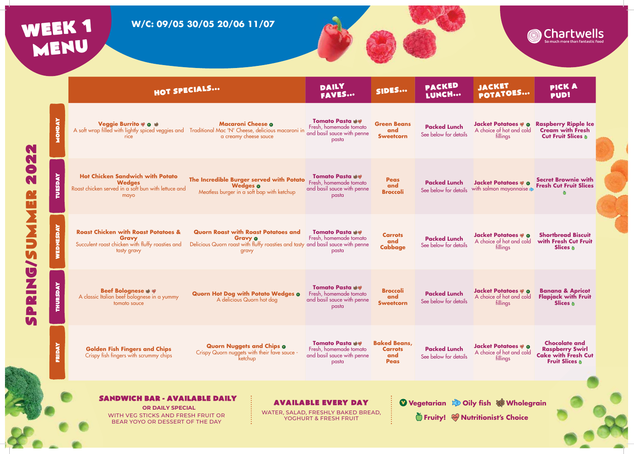### WEEK 1

8

|                                                                                                  |                        | HOT SPECIALS                                                                                                                                                                                                                                                                                  | <b>DAILY</b><br>SIDES<br><b>FAVES</b>                                                     |                                                             | PACKED<br>LUNCH                                                   |                                                     |
|--------------------------------------------------------------------------------------------------|------------------------|-----------------------------------------------------------------------------------------------------------------------------------------------------------------------------------------------------------------------------------------------------------------------------------------------|-------------------------------------------------------------------------------------------|-------------------------------------------------------------|-------------------------------------------------------------------|-----------------------------------------------------|
| N                                                                                                | <b>ANGNOW</b>          | Veggie Burrito @ @ #<br><b>Macaroni Cheese o</b><br>A soft wrap filled with lightly spiced veggies and<br>Traditional Mac 'N' Cheese, delicious macaroni in<br>a creamy cheese sauce<br>rice                                                                                                  | <b>Tomato Pasta **</b><br>Fresh, homemade tomato<br>and basil sauce with penne<br>pasta   | <b>Green Beans</b><br>and<br><b>Sweetcorn</b>               | <b>Packed Lunch</b><br>See below for details                      | <b>Jacket Potato</b><br>A choice of hot<br>fillings |
| N<br>$\overline{\mathbf{a}}$<br>$\mathbf \Omega$<br>W<br>X<br>S<br>i<br>$\mathbf{z}$<br><b>N</b> | <b>TUESDAY</b>         | <b>Hot Chicken Sandwich with Potato</b><br>The Incredible Burger served with Potato<br><b>Wedges</b><br><b>Wedges o</b><br>Roast chicken served in a soft bun with lettuce and<br>Meatless burger in a soft bap with ketchup<br>mayo                                                          | <b>Tomato Pasta **</b><br>Fresh, homemade tomato<br>and basil sauce with penne<br>pasta   | <b>Peas</b><br>and<br><b>Broccoli</b>                       | <b>Packed Lunch</b><br>See below for details                      | <b>Jacket Potato</b><br>with salmon may             |
|                                                                                                  | WEDNESDAY              | <b>Roast Chicken with Roast Potatoes &amp;</b><br><b>Quorn Roast with Roast Potatoes and</b><br><b>Gravy o</b><br><b>Gravy</b><br>Delicious Quorn roast with fluffy roasties and tasty and basil sauce with penne<br>Succulent roast chicken with fluffy roasties and<br>tasty gravy<br>gravy | Tomato Pasta **<br>Fresh, homemade tomato<br>pasta                                        | <b>Carrots</b><br>and<br><b>Cabbage</b>                     | <b>Packed Lunch</b><br>See below for details                      | <b>Jacket Potato</b><br>A choice of hot<br>fillings |
|                                                                                                  | <b><i>AVGSBOH.</i></b> | <b>Beef Bolognese * *</b><br><b>Quorn Hot Dog with Potato Wedges o</b><br>A classic Italian beef bolognese in a yummy<br>A delicious Quorn hot dog<br>tomato sauce                                                                                                                            | <b>Tomato Pasta **</b><br>Fresh, homemade tomato<br>and basil sauce with penne<br>pasta   | <b>Broccoli</b><br>and<br><b>Sweetcorn</b>                  | <b>Packed Lunch</b><br>See below for details                      | <b>Jacket Potato</b><br>A choice of hot<br>fillings |
|                                                                                                  | FRIDAY                 | <b>Quorn Nuggets and Chips o</b><br><b>Golden Fish Fingers and Chips</b><br>Crispy Quorn nuggets with their fave sauce -<br>Crispy fish fingers with scrummy chips<br>ketchup                                                                                                                 | <b>Tomato Pasta **</b><br>Fresh, homemade tomato<br>and basil sauce with penne<br>pasta   | <b>Baked Beans,</b><br><b>Carrots</b><br>and<br><b>Peas</b> | <b>Packed Lunch</b><br>See below for details                      | <b>Jacket Potato</b><br>A choice of hot<br>fillings |
|                                                                                                  |                        | <b>SANDWICH BAR - AVAILABLE DAILY</b><br><b>OR DAILY SPECIAL</b><br>WITH VEG STICKS AND FRESH FRUIT OR<br>BEAR YOYO OR DESSERT OF THE DAY                                                                                                                                                     | <b>AVAILABLE EVERY DAY</b><br>WATER, SALAD, FRESHLY BAKED BREAD,<br>YOGHURT & FRESH FRUIT |                                                             | Vegetarian & Oily fish & V<br><b>D</b> Fruity! W Nutritionist's C |                                                     |

**Somuch more than fantastic food** 

### **Vegetarian Oily fish Wholegrain**

**Tritionist's Choice** 

#### WEEK 1 **W/C: 09/05 30/05 20/06 11/07**



| JACKET<br><b>POTATOES</b>                                   | PICK A<br><b>PUD!</b>                                                                                     |  |
|-------------------------------------------------------------|-----------------------------------------------------------------------------------------------------------|--|
| Jacket Potatoes % o<br>A choice of hot and cold<br>fillings | <b>Raspberry Ripple Ice<br/>Cream with Fresh</b><br><b>Cut Fruit Slices &amp;</b>                         |  |
| Jacket Potatoes ® o<br>with salmon mayonnaise               | <b>Secret Brownie with</b><br><b>Fresh Cut Fruit Slices</b><br>Ö                                          |  |
| Jacket Potatoes @ @<br>A choice of hot and cold<br>fillings | <b>Shortbread Biscuit</b><br>with Fresh Cut Fruit<br>Slices &                                             |  |
| Jacket Potatoes % o<br>A choice of hot and cold<br>fillings | <b>Banana &amp; Apricot</b><br><b>Flapjack with Fruit</b><br>Slices &                                     |  |
| Jacket Potatoes % o<br>A choice of hot and cold<br>fillings | <b>Chocolate and</b><br><b>Raspberry Swirl</b><br><b>Cake with Fresh Cut</b><br><b>Fruit Slices &amp;</b> |  |
|                                                             |                                                                                                           |  |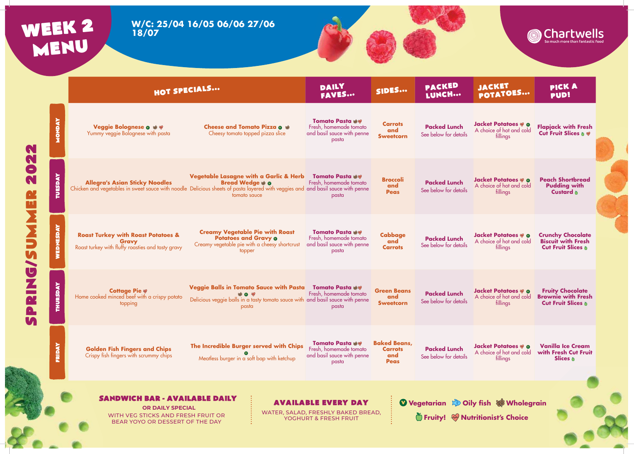## WEEK 2

 $\mathbf{R}$ 

 $\bullet$ 

|                                                                                                                     |                       | HOT SPECIALS                                                                                                                                                             |                                                                                                                                           | DAILY<br><b>FAVES</b>                                                                     | SIDES                                                       | <b>PACKED</b><br>LUNCH                                                                 | JACKET<br><b>POTATO</b>                             |
|---------------------------------------------------------------------------------------------------------------------|-----------------------|--------------------------------------------------------------------------------------------------------------------------------------------------------------------------|-------------------------------------------------------------------------------------------------------------------------------------------|-------------------------------------------------------------------------------------------|-------------------------------------------------------------|----------------------------------------------------------------------------------------|-----------------------------------------------------|
| N                                                                                                                   | <b><i>ANGHON</i></b>  | Veggie Bolognese o * *<br>Yummy veggie Bolognese with pasta                                                                                                              | Cheese and Tomato Pizza o *<br>Cheesy tomato topped pizza slice                                                                           | <b>Tomato Pasta **</b><br>Fresh, homemade tomato<br>and basil sauce with penne<br>pasta   | <b>Carrots</b><br>and<br><b>Sweetcorn</b>                   | <b>Packed Lunch</b><br>See below for details                                           | <b>Jacket Potato</b><br>A choice of hot<br>fillings |
| N<br>$\bullet$<br>N<br>$\mathbf{\Omega}$<br>M<br>X<br>D<br>M<br>J<br>$\overline{\mathbf{z}}$<br>$\overline{\alpha}$ | <b>TUESDAY</b>        | <b>Allegra's Asian Sticky Noodles</b><br>Chicken and vegetables in sweet sauce with noodle Delicious sheets of pasta layered with veggies and and basil sauce with penne | Vegetable Lasagne with a Garlic & Herb<br><b>Bread Wedge * 0</b><br>tomato sauce                                                          | <b>Tomato Pasta **</b><br>Fresh, homemade tomato<br>pasta                                 | <b>Broccoli</b><br>and<br><b>Peas</b>                       | <b>Packed Lunch</b><br>See below for details                                           | <b>Jacket Potato</b><br>A choice of hot<br>fillings |
|                                                                                                                     | WEDNESDAY             | <b>Roast Turkey with Roast Potatoes &amp;</b><br>Gravy<br>Roast turkey with fluffy roasties and tasty gravy                                                              | <b>Creamy Vegetable Pie with Roast</b><br><b>Potatoes and Gravy o</b><br>Creamy vegetable pie with a cheesy shortcrust<br>topper          | <b>Tomato Pasta ##</b><br>Fresh, homemade tomato<br>and basil sauce with penne<br>pasta   | <b>Cabbage</b><br>and<br><b>Carrots</b>                     | <b>Packed Lunch</b><br>See below for details                                           | <b>Jacket Potato</b><br>A choice of hot<br>fillings |
|                                                                                                                     | <b><i>AVGSBAH</i></b> | <b>Cottage Pie ®</b><br>Home cooked minced beef with a crispy potato<br>topping                                                                                          | <b>Veggie Balls in Tomato Sauce with Pasta</b><br>Delicious veggie balls in a tasty tomato sauce with and basil sauce with penne<br>pasta | <b>Tomato Pasta #</b><br>Fresh, homemade tomato<br>pasta                                  | <b>Green Beans</b><br>and<br><b>Sweetcorn</b>               | <b>Packed Lunch</b><br>See below for details                                           | <b>Jacket Potato</b><br>A choice of hot<br>fillings |
|                                                                                                                     | FRIDAY                | <b>Golden Fish Fingers and Chips</b><br>Crispy fish fingers with scrummy chips                                                                                           | The Incredible Burger served with Chips<br>Meatless burger in a soft bap with ketchup                                                     | <b>Tomato Pasta **</b><br>Fresh, homemade tomato<br>and basil sauce with penne<br>pasta   | <b>Baked Beans,</b><br><b>Carrots</b><br>and<br><b>Peas</b> | <b>Packed Lunch</b><br>See below for details                                           | <b>Jacket Potato</b><br>A choice of hot<br>fillings |
|                                                                                                                     |                       | SANDWICH BAR - AVAILABLE DAILY<br><b>OR DAILY SPECIAL</b><br>WITH VEG STICKS AND FRESH FRUIT OR<br>BEAR YOYO OR DESSERT OF THE DAY                                       |                                                                                                                                           | <b>AVAILABLE EVERY DAY</b><br>WATER, SALAD, FRESHLY BAKED BREAD,<br>YOGHURT & FRESH FRUIT |                                                             | Vegetarian & Oily fish & V<br><b>The Final Property: 4 September 10 September 2015</b> |                                                     |

**Somuch more than fantastic food** 

#### **Vegetarian Oily fish Wholegrain**

**Tritionist's Choice** 

### WEEK 2 **W/C: 25/04 16/05 06/06 27/06 18/07**



| JACKET<br><b>POTATOES</b>                                   | PICK A<br><b>PUD!</b>                                                                  |  |
|-------------------------------------------------------------|----------------------------------------------------------------------------------------|--|
| Jacket Potatoes @ @<br>A choice of hot and cold<br>fillings | <b>Flapjack with Fresh</b><br><b>Cut Fruit Slices &amp; &amp;</b>                      |  |
| Jacket Potatoes % o<br>A choice of hot and cold<br>fillings | <b>Peach Shortbread</b><br><b>Pudding with</b><br>Custard &                            |  |
| Jacket Potatoes % o<br>A choice of hot and cold<br>fillings | <b>Crunchy Chocolate</b><br><b>Biscuit with Fresh</b><br><b>Cut Fruit Slices &amp;</b> |  |
| Jacket Potatoes % o<br>A choice of hot and cold<br>fillings | <b>Fruity Chocolate</b><br><b>Brownie with Fresh</b><br><b>Cut Fruit Slices &amp;</b>  |  |
| Jacket Potatoes @ @<br>A choice of hot and cold<br>fillings | <b>Vanilla Ice Cream</b><br>with Fresh Cut Fruit<br><b>Slices &amp;</b>                |  |
|                                                             |                                                                                        |  |